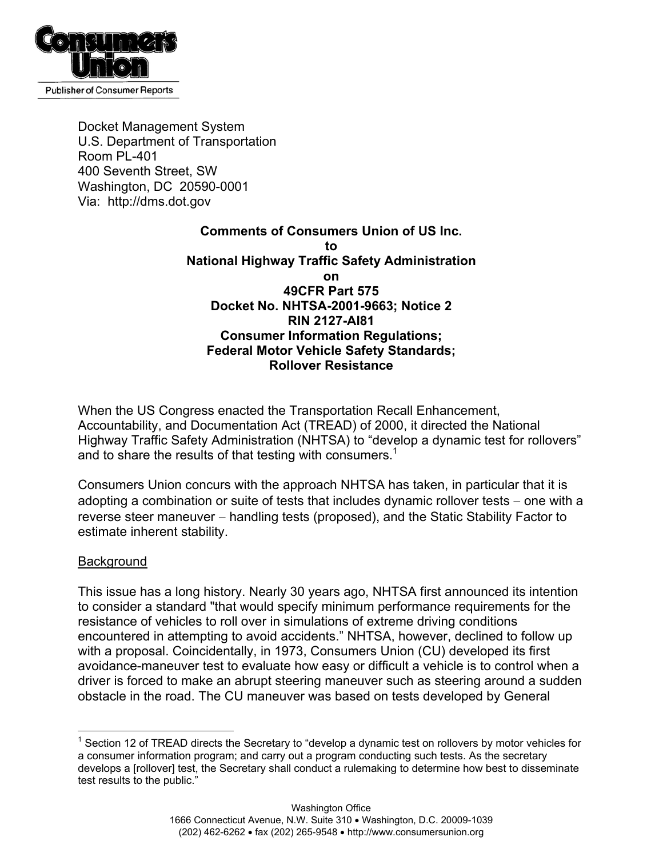

Docket Management System U.S. Department of Transportation Room PL-401 400 Seventh Street, SW Washington, DC 20590-0001 Via: http://dms.dot.gov

### **Comments of Consumers Union of US Inc. to National Highway Traffic Safety Administration on 49CFR Part 575 Docket No. NHTSA-2001-9663; Notice 2 RIN 2127-AI81 Consumer Information Regulations; Federal Motor Vehicle Safety Standards; Rollover Resistance**

When the US Congress enacted the Transportation Recall Enhancement, Accountability, and Documentation Act (TREAD) of 2000, it directed the National Highway Traffic Safety Administration (NHTSA) to "develop a dynamic test for rollovers" and to share the results of that testing with consumers.<sup>[1](#page-0-0)</sup>

Consumers Union concurs with the approach NHTSA has taken, in particular that it is adopting a combination or suite of tests that includes dynamic rollover tests – one with a reverse steer maneuver – handling tests (proposed), and the Static Stability Factor to estimate inherent stability.

### Background

This issue has a long history. Nearly 30 years ago, NHTSA first announced its intention to consider a standard "that would specify minimum performance requirements for the resistance of vehicles to roll over in simulations of extreme driving conditions encountered in attempting to avoid accidents." NHTSA, however, declined to follow up with a proposal. Coincidentally, in 1973, Consumers Union (CU) developed its first avoidance-maneuver test to evaluate how easy or difficult a vehicle is to control when a driver is forced to make an abrupt steering maneuver such as steering around a sudden obstacle in the road. The CU maneuver was based on tests developed by General

<span id="page-0-0"></span> $\overline{a}$  $1$  Section 12 of TREAD directs the Secretary to "develop a dynamic test on rollovers by motor vehicles for a consumer information program; and carry out a program conducting such tests. As the secretary develops a [rollover] test, the Secretary shall conduct a rulemaking to determine how best to disseminate test results to the public."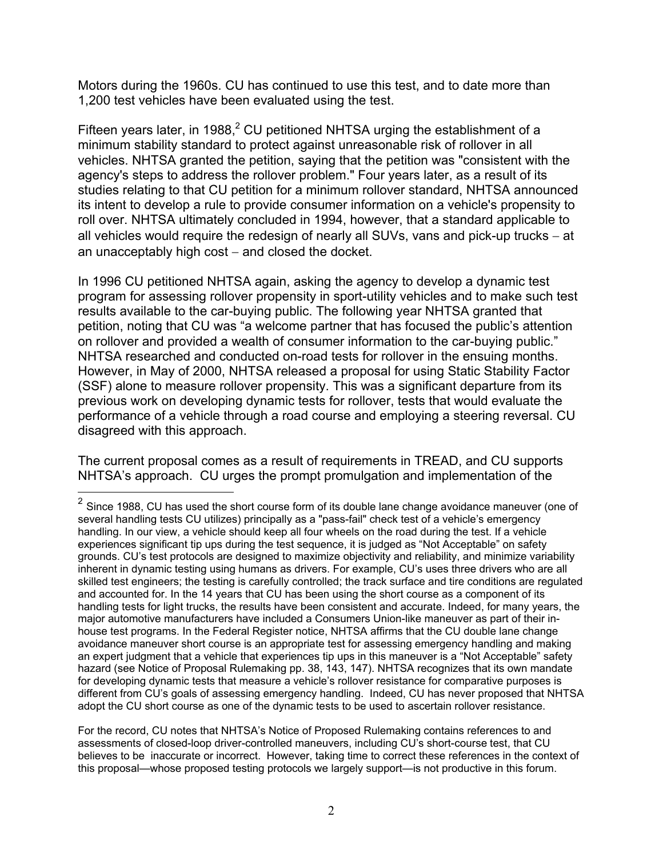Motors during the 1960s. CU has continued to use this test, and to date more than 1,200 test vehicles have been evaluated using the test.

Fifteen years later, in 1988, $2$  CU petitioned NHTSA urging the establishment of a minimum stability standard to protect against unreasonable risk of rollover in all vehicles. NHTSA granted the petition, saying that the petition was "consistent with the agency's steps to address the rollover problem." Four years later, as a result of its studies relating to that CU petition for a minimum rollover standard, NHTSA announced its intent to develop a rule to provide consumer information on a vehicle's propensity to roll over. NHTSA ultimately concluded in 1994, however, that a standard applicable to all vehicles would require the redesign of nearly all SUVs, vans and pick-up trucks – at an unacceptably high cost – and closed the docket.

In 1996 CU petitioned NHTSA again, asking the agency to develop a dynamic test program for assessing rollover propensity in sport-utility vehicles and to make such test results available to the car-buying public. The following year NHTSA granted that petition, noting that CU was "a welcome partner that has focused the public's attention on rollover and provided a wealth of consumer information to the car-buying public." NHTSA researched and conducted on-road tests for rollover in the ensuing months. However, in May of 2000, NHTSA released a proposal for using Static Stability Factor (SSF) alone to measure rollover propensity. This was a significant departure from its previous work on developing dynamic tests for rollover, tests that would evaluate the performance of a vehicle through a road course and employing a steering reversal. CU disagreed with this approach.

The current proposal comes as a result of requirements in TREAD, and CU supports NHTSA's approach. CU urges the prompt promulgation and implementation of the

 $\overline{a}$ 

<span id="page-1-0"></span> $^{2}$  Since 1988, CU has used the short course form of its double lane change avoidance maneuver (one of several handling tests CU utilizes) principally as a "pass-fail" check test of a vehicle's emergency handling. In our view, a vehicle should keep all four wheels on the road during the test. If a vehicle experiences significant tip ups during the test sequence, it is judged as "Not Acceptable" on safety grounds. CU's test protocols are designed to maximize objectivity and reliability, and minimize variability inherent in dynamic testing using humans as drivers. For example, CU's uses three drivers who are all skilled test engineers; the testing is carefully controlled; the track surface and tire conditions are regulated and accounted for. In the 14 years that CU has been using the short course as a component of its handling tests for light trucks, the results have been consistent and accurate. Indeed, for many years, the major automotive manufacturers have included a Consumers Union-like maneuver as part of their inhouse test programs. In the Federal Register notice, NHTSA affirms that the CU double lane change avoidance maneuver short course is an appropriate test for assessing emergency handling and making an expert judgment that a vehicle that experiences tip ups in this maneuver is a "Not Acceptable" safety hazard (see Notice of Proposal Rulemaking pp. 38, 143, 147). NHTSA recognizes that its own mandate for developing dynamic tests that measure a vehicle's rollover resistance for comparative purposes is different from CU's goals of assessing emergency handling. Indeed, CU has never proposed that NHTSA adopt the CU short course as one of the dynamic tests to be used to ascertain rollover resistance.

For the record, CU notes that NHTSA's Notice of Proposed Rulemaking contains references to and assessments of closed-loop driver-controlled maneuvers, including CU's short-course test, that CU believes to be inaccurate or incorrect. However, taking time to correct these references in the context of this proposal—whose proposed testing protocols we largely support—is not productive in this forum.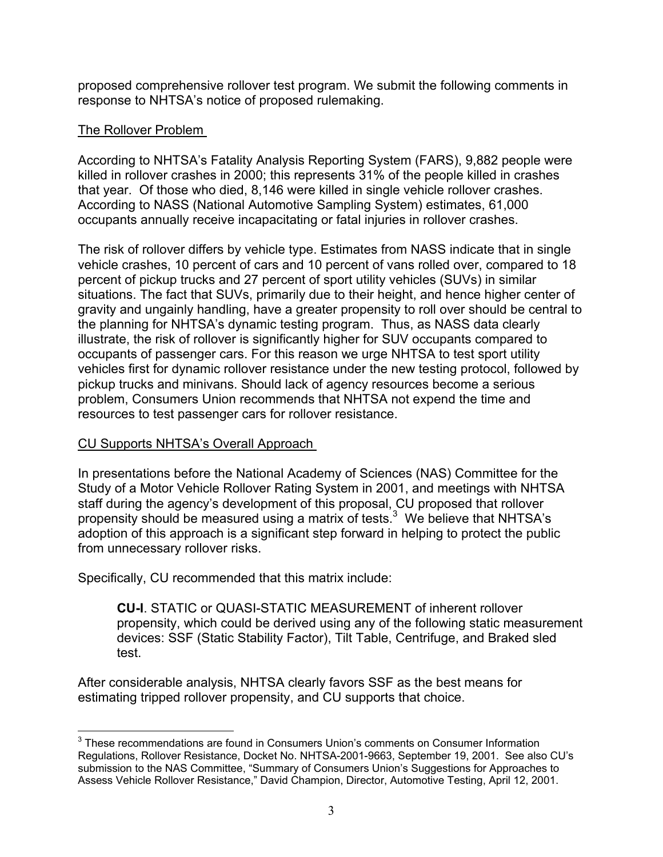proposed comprehensive rollover test program. We submit the following comments in response to NHTSA's notice of proposed rulemaking.

# The Rollover Problem

According to NHTSA's Fatality Analysis Reporting System (FARS), 9,882 people were killed in rollover crashes in 2000; this represents 31% of the people killed in crashes that year. Of those who died, 8,146 were killed in single vehicle rollover crashes. According to NASS (National Automotive Sampling System) estimates, 61,000 occupants annually receive incapacitating or fatal injuries in rollover crashes.

The risk of rollover differs by vehicle type. Estimates from NASS indicate that in single vehicle crashes, 10 percent of cars and 10 percent of vans rolled over, compared to 18 percent of pickup trucks and 27 percent of sport utility vehicles (SUVs) in similar situations. The fact that SUVs, primarily due to their height, and hence higher center of gravity and ungainly handling, have a greater propensity to roll over should be central to the planning for NHTSA's dynamic testing program. Thus, as NASS data clearly illustrate, the risk of rollover is significantly higher for SUV occupants compared to occupants of passenger cars. For this reason we urge NHTSA to test sport utility vehicles first for dynamic rollover resistance under the new testing protocol, followed by pickup trucks and minivans. Should lack of agency resources become a serious problem, Consumers Union recommends that NHTSA not expend the time and resources to test passenger cars for rollover resistance.

# CU Supports NHTSA's Overall Approach

In presentations before the National Academy of Sciences (NAS) Committee for the Study of a Motor Vehicle Rollover Rating System in 2001, and meetings with NHTSA staff during the agency's development of this proposal, CU proposed that rollover propensity should be measured using a matrix of tests. $3$  We believe that NHTSA's adoption of this approach is a significant step forward in helping to protect the public from unnecessary rollover risks.

Specifically, CU recommended that this matrix include:

**CU-I**. STATIC or QUASI-STATIC MEASUREMENT of inherent rollover propensity, which could be derived using any of the following static measurement devices: SSF (Static Stability Factor), Tilt Table, Centrifuge, and Braked sled test.

After considerable analysis, NHTSA clearly favors SSF as the best means for estimating tripped rollover propensity, and CU supports that choice.

<span id="page-2-0"></span> $\overline{a}$  $3$  These recommendations are found in Consumers Union's comments on Consumer Information Regulations, Rollover Resistance, Docket No. NHTSA-2001-9663, September 19, 2001. See also CU's submission to the NAS Committee, "Summary of Consumers Union's Suggestions for Approaches to Assess Vehicle Rollover Resistance," David Champion, Director, Automotive Testing, April 12, 2001.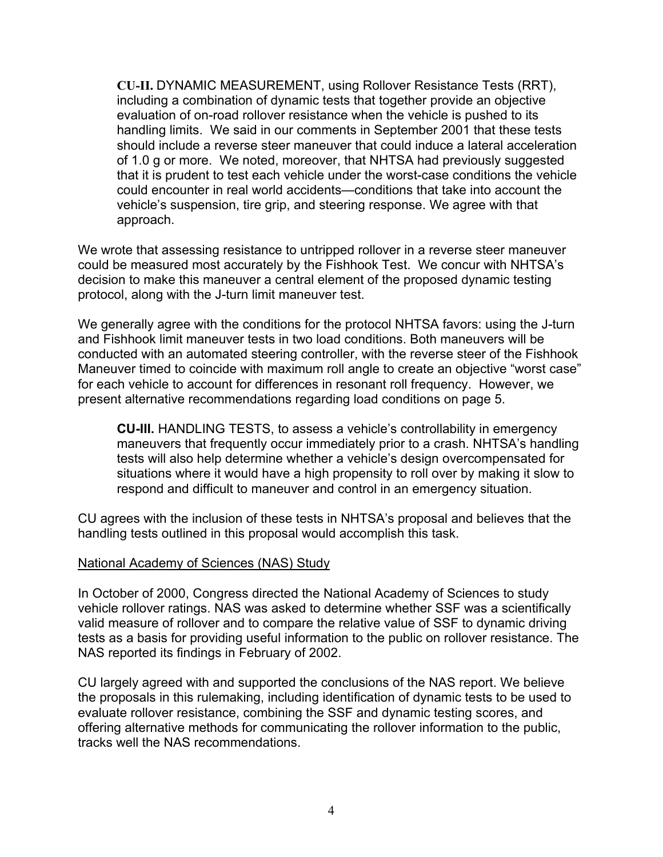**CU-II.** DYNAMIC MEASUREMENT, using Rollover Resistance Tests (RRT), including a combination of dynamic tests that together provide an objective evaluation of on-road rollover resistance when the vehicle is pushed to its handling limits. We said in our comments in September 2001 that these tests should include a reverse steer maneuver that could induce a lateral acceleration of 1.0 g or more. We noted, moreover, that NHTSA had previously suggested that it is prudent to test each vehicle under the worst-case conditions the vehicle could encounter in real world accidents—conditions that take into account the vehicle's suspension, tire grip, and steering response. We agree with that approach.

We wrote that assessing resistance to untripped rollover in a reverse steer maneuver could be measured most accurately by the Fishhook Test. We concur with NHTSA's decision to make this maneuver a central element of the proposed dynamic testing protocol, along with the J-turn limit maneuver test.

We generally agree with the conditions for the protocol NHTSA favors: using the J-turn and Fishhook limit maneuver tests in two load conditions. Both maneuvers will be conducted with an automated steering controller, with the reverse steer of the Fishhook Maneuver timed to coincide with maximum roll angle to create an objective "worst case" for each vehicle to account for differences in resonant roll frequency. However, we present alternative recommendations regarding load conditions on page 5.

**CU-III.** HANDLING TESTS, to assess a vehicle's controllability in emergency maneuvers that frequently occur immediately prior to a crash. NHTSA's handling tests will also help determine whether a vehicle's design overcompensated for situations where it would have a high propensity to roll over by making it slow to respond and difficult to maneuver and control in an emergency situation.

CU agrees with the inclusion of these tests in NHTSA's proposal and believes that the handling tests outlined in this proposal would accomplish this task.

#### National Academy of Sciences (NAS) Study

In October of 2000, Congress directed the National Academy of Sciences to study vehicle rollover ratings. NAS was asked to determine whether SSF was a scientifically valid measure of rollover and to compare the relative value of SSF to dynamic driving tests as a basis for providing useful information to the public on rollover resistance. The NAS reported its findings in February of 2002.

CU largely agreed with and supported the conclusions of the NAS report. We believe the proposals in this rulemaking, including identification of dynamic tests to be used to evaluate rollover resistance, combining the SSF and dynamic testing scores, and offering alternative methods for communicating the rollover information to the public, tracks well the NAS recommendations.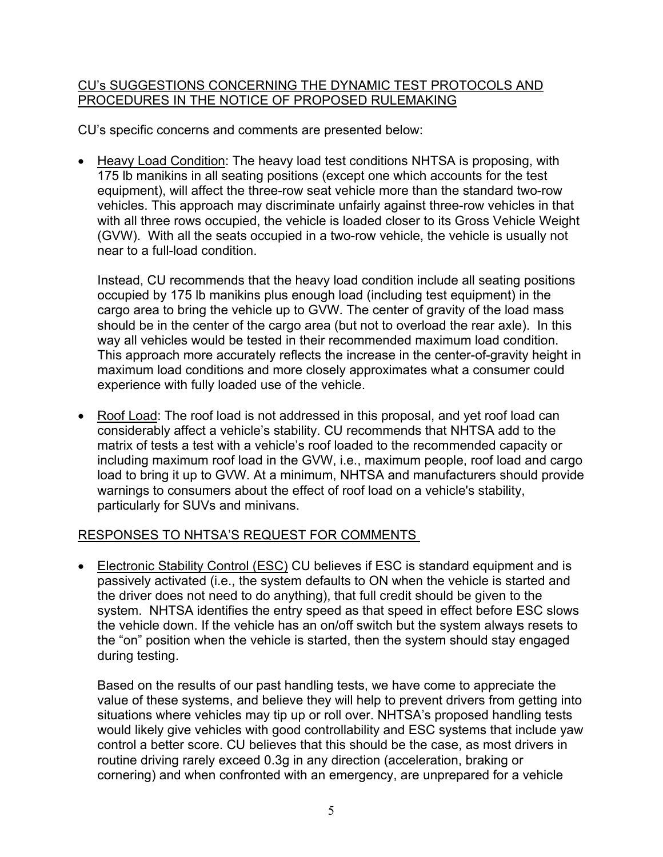### CU's SUGGESTIONS CONCERNING THE DYNAMIC TEST PROTOCOLS AND PROCEDURES IN THE NOTICE OF PROPOSED RULEMAKING

CU's specific concerns and comments are presented below:

• Heavy Load Condition: The heavy load test conditions NHTSA is proposing, with 175 lb manikins in all seating positions (except one which accounts for the test equipment), will affect the three-row seat vehicle more than the standard two-row vehicles. This approach may discriminate unfairly against three-row vehicles in that with all three rows occupied, the vehicle is loaded closer to its Gross Vehicle Weight (GVW). With all the seats occupied in a two-row vehicle, the vehicle is usually not near to a full-load condition.

Instead, CU recommends that the heavy load condition include all seating positions occupied by 175 lb manikins plus enough load (including test equipment) in the cargo area to bring the vehicle up to GVW. The center of gravity of the load mass should be in the center of the cargo area (but not to overload the rear axle). In this way all vehicles would be tested in their recommended maximum load condition. This approach more accurately reflects the increase in the center-of-gravity height in maximum load conditions and more closely approximates what a consumer could experience with fully loaded use of the vehicle.

• Roof Load: The roof load is not addressed in this proposal, and yet roof load can considerably affect a vehicle's stability. CU recommends that NHTSA add to the matrix of tests a test with a vehicle's roof loaded to the recommended capacity or including maximum roof load in the GVW, i.e., maximum people, roof load and cargo load to bring it up to GVW. At a minimum, NHTSA and manufacturers should provide warnings to consumers about the effect of roof load on a vehicle's stability, particularly for SUVs and minivans.

# RESPONSES TO NHTSA'S REQUEST FOR COMMENTS

• Electronic Stability Control (ESC) CU believes if ESC is standard equipment and is passively activated (i.e., the system defaults to ON when the vehicle is started and the driver does not need to do anything), that full credit should be given to the system. NHTSA identifies the entry speed as that speed in effect before ESC slows the vehicle down. If the vehicle has an on/off switch but the system always resets to the "on" position when the vehicle is started, then the system should stay engaged during testing.

Based on the results of our past handling tests, we have come to appreciate the value of these systems, and believe they will help to prevent drivers from getting into situations where vehicles may tip up or roll over. NHTSA's proposed handling tests would likely give vehicles with good controllability and ESC systems that include yaw control a better score. CU believes that this should be the case, as most drivers in routine driving rarely exceed 0.3g in any direction (acceleration, braking or cornering) and when confronted with an emergency, are unprepared for a vehicle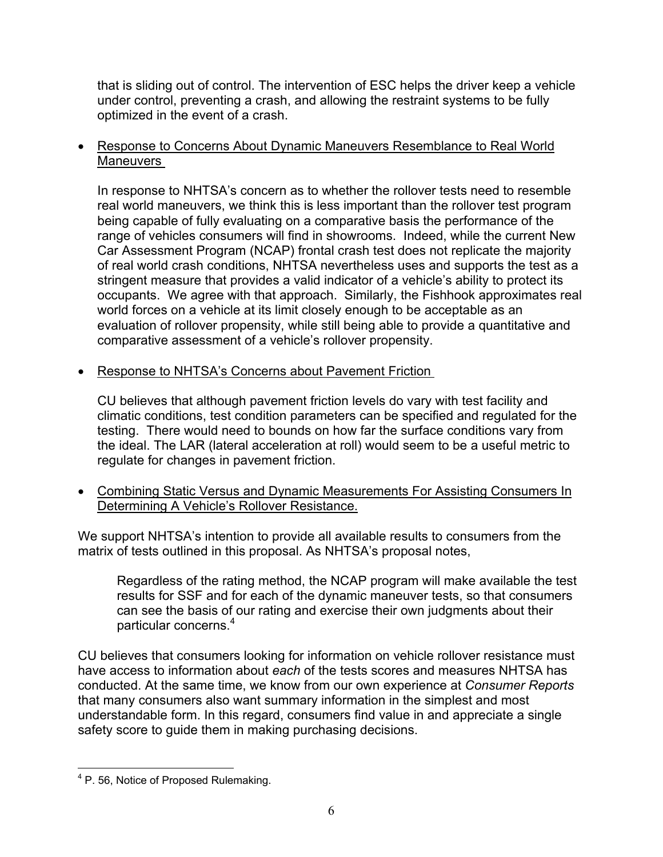that is sliding out of control. The intervention of ESC helps the driver keep a vehicle under control, preventing a crash, and allowing the restraint systems to be fully optimized in the event of a crash.

• Response to Concerns About Dynamic Maneuvers Resemblance to Real World Maneuvers

In response to NHTSA's concern as to whether the rollover tests need to resemble real world maneuvers, we think this is less important than the rollover test program being capable of fully evaluating on a comparative basis the performance of the range of vehicles consumers will find in showrooms. Indeed, while the current New Car Assessment Program (NCAP) frontal crash test does not replicate the majority of real world crash conditions, NHTSA nevertheless uses and supports the test as a stringent measure that provides a valid indicator of a vehicle's ability to protect its occupants. We agree with that approach. Similarly, the Fishhook approximates real world forces on a vehicle at its limit closely enough to be acceptable as an evaluation of rollover propensity, while still being able to provide a quantitative and comparative assessment of a vehicle's rollover propensity.

• Response to NHTSA's Concerns about Pavement Friction

CU believes that although pavement friction levels do vary with test facility and climatic conditions, test condition parameters can be specified and regulated for the testing. There would need to bounds on how far the surface conditions vary from the ideal. The LAR (lateral acceleration at roll) would seem to be a useful metric to regulate for changes in pavement friction.

• Combining Static Versus and Dynamic Measurements For Assisting Consumers In Determining A Vehicle's Rollover Resistance.

We support NHTSA's intention to provide all available results to consumers from the matrix of tests outlined in this proposal. As NHTSA's proposal notes,

Regardless of the rating method, the NCAP program will make available the test results for SSF and for each of the dynamic maneuver tests, so that consumers can see the basis of our rating and exercise their own judgments about their particular concerns.<sup>[4](#page-5-0)</sup>

CU believes that consumers looking for information on vehicle rollover resistance must have access to information about *each* of the tests scores and measures NHTSA has conducted. At the same time, we know from our own experience at *Consumer Reports* that many consumers also want summary information in the simplest and most understandable form. In this regard, consumers find value in and appreciate a single safety score to guide them in making purchasing decisions.

 $\overline{a}$ 

<span id="page-5-0"></span> $4$  P. 56, Notice of Proposed Rulemaking.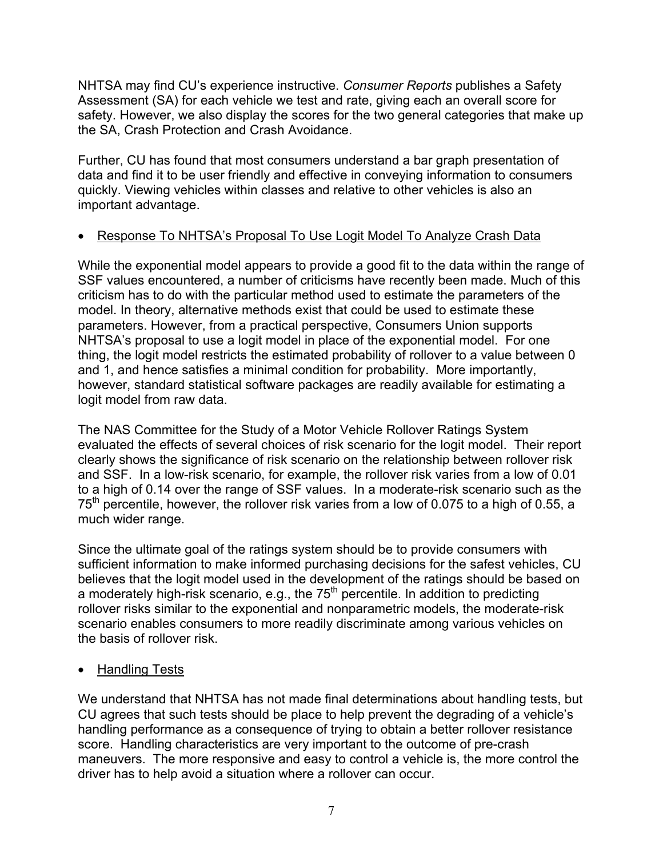NHTSA may find CU's experience instructive. *Consumer Reports* publishes a Safety Assessment (SA) for each vehicle we test and rate, giving each an overall score for safety. However, we also display the scores for the two general categories that make up the SA, Crash Protection and Crash Avoidance.

Further, CU has found that most consumers understand a bar graph presentation of data and find it to be user friendly and effective in conveying information to consumers quickly. Viewing vehicles within classes and relative to other vehicles is also an important advantage.

# • Response To NHTSA's Proposal To Use Logit Model To Analyze Crash Data

While the exponential model appears to provide a good fit to the data within the range of SSF values encountered, a number of criticisms have recently been made. Much of this criticism has to do with the particular method used to estimate the parameters of the model. In theory, alternative methods exist that could be used to estimate these parameters. However, from a practical perspective, Consumers Union supports NHTSA's proposal to use a logit model in place of the exponential model. For one thing, the logit model restricts the estimated probability of rollover to a value between 0 and 1, and hence satisfies a minimal condition for probability. More importantly, however, standard statistical software packages are readily available for estimating a logit model from raw data.

The NAS Committee for the Study of a Motor Vehicle Rollover Ratings System evaluated the effects of several choices of risk scenario for the logit model. Their report clearly shows the significance of risk scenario on the relationship between rollover risk and SSF. In a low-risk scenario, for example, the rollover risk varies from a low of 0.01 to a high of 0.14 over the range of SSF values. In a moderate-risk scenario such as the  $75<sup>th</sup>$  percentile, however, the rollover risk varies from a low of 0.075 to a high of 0.55, a much wider range.

Since the ultimate goal of the ratings system should be to provide consumers with sufficient information to make informed purchasing decisions for the safest vehicles, CU believes that the logit model used in the development of the ratings should be based on a moderately high-risk scenario, e.g., the  $75<sup>th</sup>$  percentile. In addition to predicting rollover risks similar to the exponential and nonparametric models, the moderate-risk scenario enables consumers to more readily discriminate among various vehicles on the basis of rollover risk.

# • Handling Tests

We understand that NHTSA has not made final determinations about handling tests, but CU agrees that such tests should be place to help prevent the degrading of a vehicle's handling performance as a consequence of trying to obtain a better rollover resistance score. Handling characteristics are very important to the outcome of pre-crash maneuvers. The more responsive and easy to control a vehicle is, the more control the driver has to help avoid a situation where a rollover can occur.